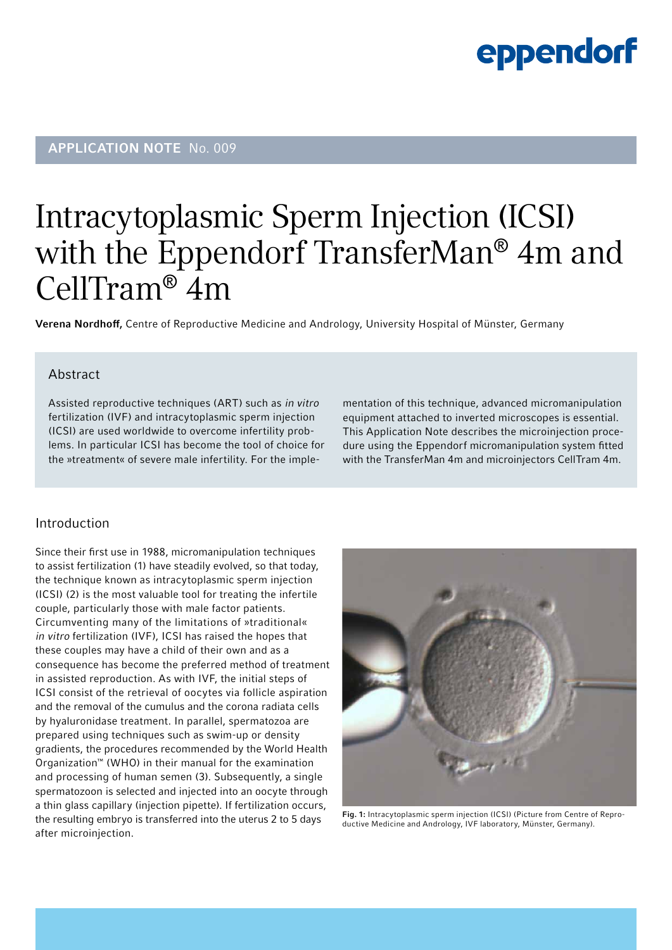## APPLICATION NOTE No. 009

## Intracytoplasmic Sperm Injection (ICSI) with the Eppendorf TransferMan® 4m and CellTram® 4m

Verena Nordhoff, Centre of Reproductive Medicine and Andrology, University Hospital of Münster, Germany

## Abstract

Assisted reproductive techniques (ART) such as in vitro fertilization (IVF) and intracytoplasmic sperm injection (ICSI) are used worldwide to overcome infertility problems. In particular ICSI has become the tool of choice for the »treatment« of severe male infertility. For the implementation of this technique, advanced micromanipulation equipment attached to inverted microscopes is essential. This Application Note describes the microinjection procedure using the Eppendorf micromanipulation system fitted with the TransferMan 4m and microinjectors CellTram 4m.

## Introduction

Since their first use in 1988, micromanipulation techniques to assist fertilization (1) have steadily evolved, so that today, the technique known as intracytoplasmic sperm injection (ICSI) (2) is the most valuable tool for treating the infertile couple, particularly those with male factor patients. Circumventing many of the limitations of »traditional« in vitro fertilization (IVF), ICSI has raised the hopes that these couples may have a child of their own and as a consequence has become the preferred method of treatment in assisted reproduction. As with IVF, the initial steps of ICSI consist of the retrieval of oocytes via follicle aspiration and the removal of the cumulus and the corona radiata cells by hyaluronidase treatment. In parallel, spermatozoa are prepared using techniques such as swim-up or density gradients, the procedures recommended by the World Health Organization™ (WHO) in their manual for the examination and processing of human semen (3). Subsequently, a single spermatozoon is selected and injected into an oocyte through a thin glass capillary (injection pipette). If fertilization occurs, the resulting embryo is transferred into the uterus 2 to 5 days after microinjection.



Fig. 1: Intracytoplasmic sperm injection (ICSI) (Picture from Centre of Reproductive Medicine and Andrology, IVF laboratory, Münster, Germany).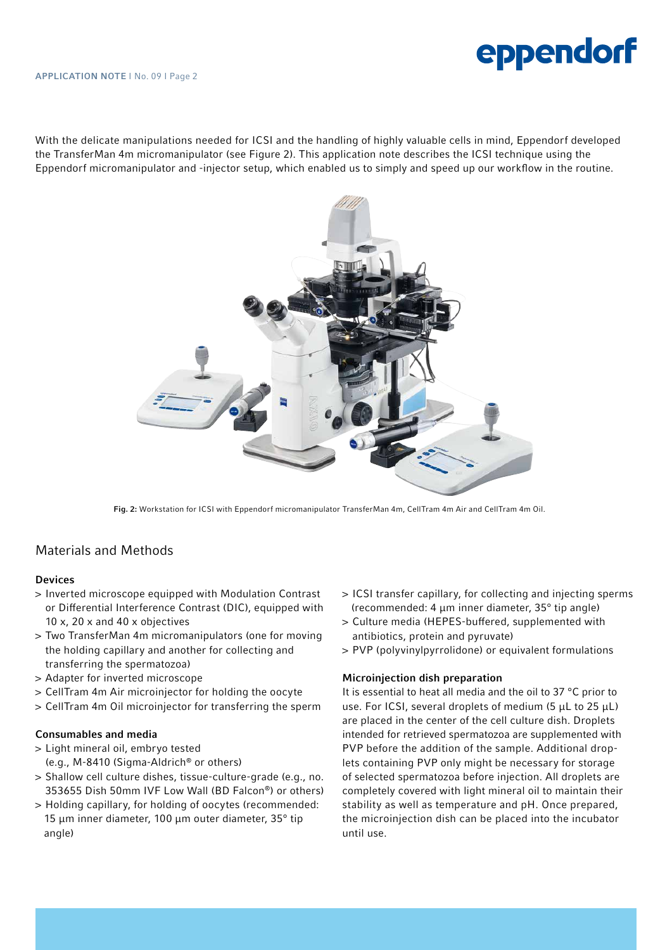With the delicate manipulations needed for ICSI and the handling of highly valuable cells in mind, Eppendorf developed the TransferMan 4m micromanipulator (see Figure 2). This application note describes the ICSI technique using the Eppendorf micromanipulator and -injector setup, which enabled us to simply and speed up our workflow in the routine.



Fig. 2: Workstation for ICSI with Eppendorf micromanipulator TransferMan 4m, CellTram 4m Air and CellTram 4m Oil.

## Materials and Methods

#### Devices

- > Inverted microscope equipped with Modulation Contrast or Differential Interference Contrast (DIC), equipped with 10 x, 20 x and 40 x objectives
- > Two TransferMan 4m micromanipulators (one for moving the holding capillary and another for collecting and transferring the spermatozoa)
- > Adapter for inverted microscope
- > CellTram 4m Air microinjector for holding the oocyte
- > CellTram 4m Oil microinjector for transferring the sperm

#### Consumables and media

- > Light mineral oil, embryo tested (e.g., M-8410 (Sigma-Aldrich® or others)
- > Shallow cell culture dishes, tissue-culture-grade (e.g., no. 353655 Dish 50mm IVF Low Wall (BD Falcon®) or others)
- > Holding capillary, for holding of oocytes (recommended: 15 µm inner diameter, 100 µm outer diameter, 35° tip angle)
- > ICSI transfer capillary, for collecting and injecting sperms (recommended: 4 µm inner diameter, 35° tip angle)
- > Culture media (HEPES-buffered, supplemented with antibiotics, protein and pyruvate)
- > PVP (polyvinylpyrrolidone) or equivalent formulations

#### Microinjection dish preparation

It is essential to heat all media and the oil to 37 °C prior to use. For ICSI, several droplets of medium (5 µL to 25 µL) are placed in the center of the cell culture dish. Droplets intended for retrieved spermatozoa are supplemented with PVP before the addition of the sample. Additional droplets containing PVP only might be necessary for storage of selected spermatozoa before injection. All droplets are completely covered with light mineral oil to maintain their stability as well as temperature and pH. Once prepared, the microinjection dish can be placed into the incubator until use.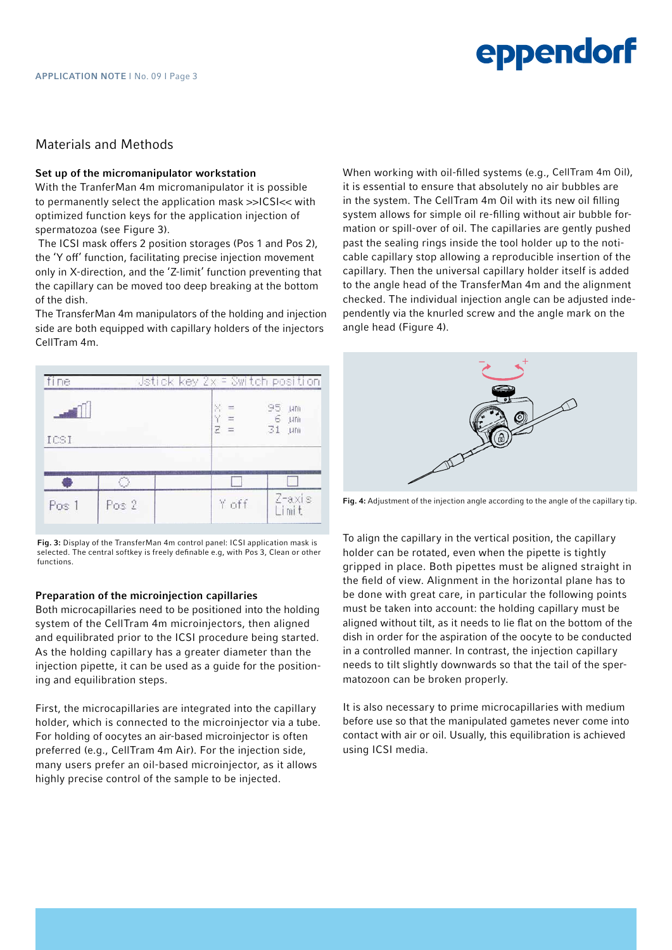## Materials and Methods

#### Set up of the micromanipulator workstation

With the TranferMan 4m micromanipulator it is possible to permanently select the application mask >>ICSI<< with optimized function keys for the application injection of spermatozoa (see Figure 3).

The ICSI mask offers 2 position storages (Pos 1 and Pos 2), the 'Y off' function, facilitating precise injection movement only in X-direction, and the 'Z-limit' function preventing that the capillary can be moved too deep breaking at the bottom of the dish.

The TransferMan 4m manipulators of the holding and injection side are both equipped with capillary holders of the injectors CellTram 4m.



Fig. 3: Display of the TransferMan 4m control panel: ICSI application mask is selected. The central softkey is freely definable e.g. with Pos 3. Clean or other functions.

#### Preparation of the microinjection capillaries

Both microcapillaries need to be positioned into the holding system of the CellTram 4m microinjectors, then aligned and equilibrated prior to the ICSI procedure being started. As the holding capillary has a greater diameter than the injection pipette, it can be used as a guide for the positioning and equilibration steps.

First, the microcapillaries are integrated into the capillary holder, which is connected to the microinjector via a tube. For holding of oocytes an air-based microinjector is often preferred (e.g., CellTram 4m Air). For the injection side, many users prefer an oil-based microinjector, as it allows highly precise control of the sample to be injected.

When working with oil-filled systems (e.g., CellTram 4m Oil), it is essential to ensure that absolutely no air bubbles are in the system. The CellTram 4m Oil with its new oil filling system allows for simple oil re-filling without air bubble formation or spill-over of oil. The capillaries are gently pushed past the sealing rings inside the tool holder up to the noticable capillary stop allowing a reproducible insertion of the capillary. Then the universal capillary holder itself is added to the angle head of the TransferMan 4m and the alignment checked. The individual injection angle can be adjusted independently via the knurled screw and the angle mark on the angle head (Figure 4).



Fig. 4: Adjustment of the injection angle according to the angle of the capillary tip.

To align the capillary in the vertical position, the capillary holder can be rotated, even when the pipette is tightly gripped in place. Both pipettes must be aligned straight in the field of view. Alignment in the horizontal plane has to be done with great care, in particular the following points must be taken into account: the holding capillary must be aligned without tilt, as it needs to lie flat on the bottom of the dish in order for the aspiration of the oocyte to be conducted in a controlled manner. In contrast, the injection capillary needs to tilt slightly downwards so that the tail of the spermatozoon can be broken properly.

It is also necessary to prime microcapillaries with medium before use so that the manipulated gametes never come into contact with air or oil. Usually, this equilibration is achieved using ICSI media.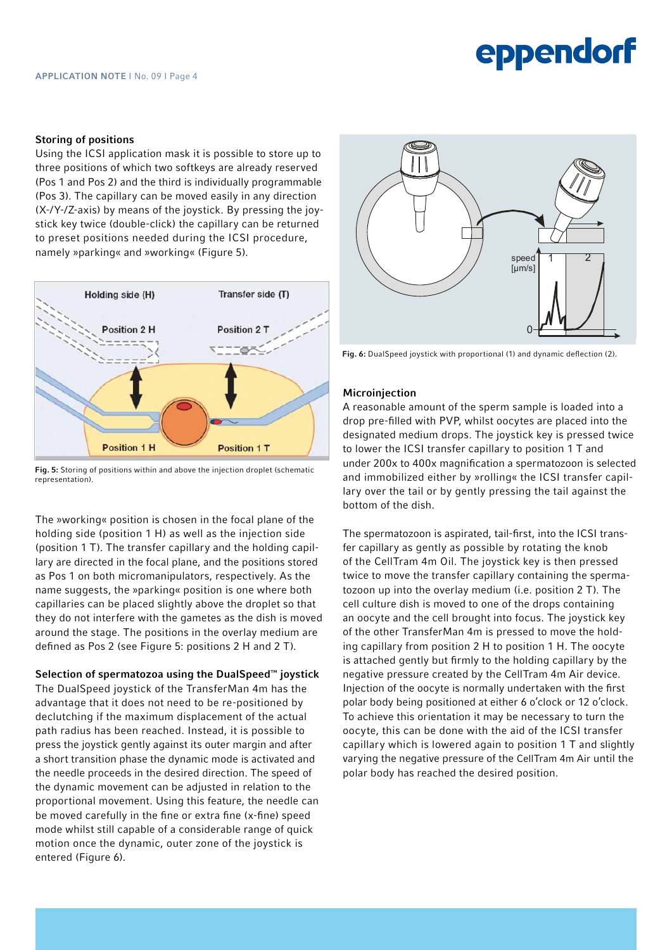## Storing of positions

Using the ICSI application mask it is possible to store up to three positions of which two softkeys are already reserved (Pos 1 and Pos 2) and the third is individually programmable (Pos 3). The capillary can be moved easily in any direction (X-/Y-/Z-axis) by means of the joystick. By pressing the joystick key twice (double-click) the capillary can be returned to preset positions needed during the ICSI procedure, namely »parking« and »working« (Figure 5).



Fig. 5: Storing of positions within and above the injection droplet (schematic representation).

The »working« position is chosen in the focal plane of the holding side (position 1 H) as well as the injection side (position 1 T). The transfer capillary and the holding capillary are directed in the focal plane, and the positions stored as Pos 1 on both micromanipulators, respectively. As the name suggests, the »parking« position is one where both capillaries can be placed slightly above the droplet so that they do not interfere with the gametes as the dish is moved around the stage. The positions in the overlay medium are defined as Pos 2 (see Figure 5: positions 2 H and 2 T).

Selection of spermatozoa using the DualSpeed™ joystick The DualSpeed joystick of the TransferMan 4m has the advantage that it does not need to be re-positioned by declutching if the maximum displacement of the actual path radius has been reached. Instead, it is possible to press the joystick gently against its outer margin and after a short transition phase the dynamic mode is activated and the needle proceeds in the desired direction. The speed of the dynamic movement can be adjusted in relation to the proportional movement. Using this feature, the needle can be moved carefully in the fine or extra fine (x-fine) speed mode whilst still capable of a considerable range of quick motion once the dynamic, outer zone of the joystick is entered (Figure 6).



Fig. 6: DualSpeed joystick with proportional (1) and dynamic deflection (2).

## **Microiniection**

A reasonable amount of the sperm sample is loaded into a drop pre-filled with PVP, whilst oocytes are placed into the designated medium drops. The joystick key is pressed twice to lower the ICSI transfer capillary to position 1 T and under 200x to 400x magnification a spermatozoon is selected and immobilized either by »rolling« the ICSI transfer capillary over the tail or by gently pressing the tail against the bottom of the dish.

The spermatozoon is aspirated, tail-first, into the ICSI transfer capillary as gently as possible by rotating the knob of the CellTram 4m Oil. The joystick key is then pressed twice to move the transfer capillary containing the spermatozoon up into the overlay medium (i.e. position 2 T). The cell culture dish is moved to one of the drops containing an oocyte and the cell brought into focus. The joystick key of the other TransferMan 4m is pressed to move the holding capillary from position 2 H to position 1 H. The oocyte is attached gently but firmly to the holding capillary by the negative pressure created by the CellTram 4m Air device. Injection of the oocyte is normally undertaken with the first polar body being positioned at either 6 o'clock or 12 o'clock. To achieve this orientation it may be necessary to turn the oocyte, this can be done with the aid of the ICSI transfer capillary which is lowered again to position 1 T and slightly varying the negative pressure of the CellTram 4m Air until the polar body has reached the desired position.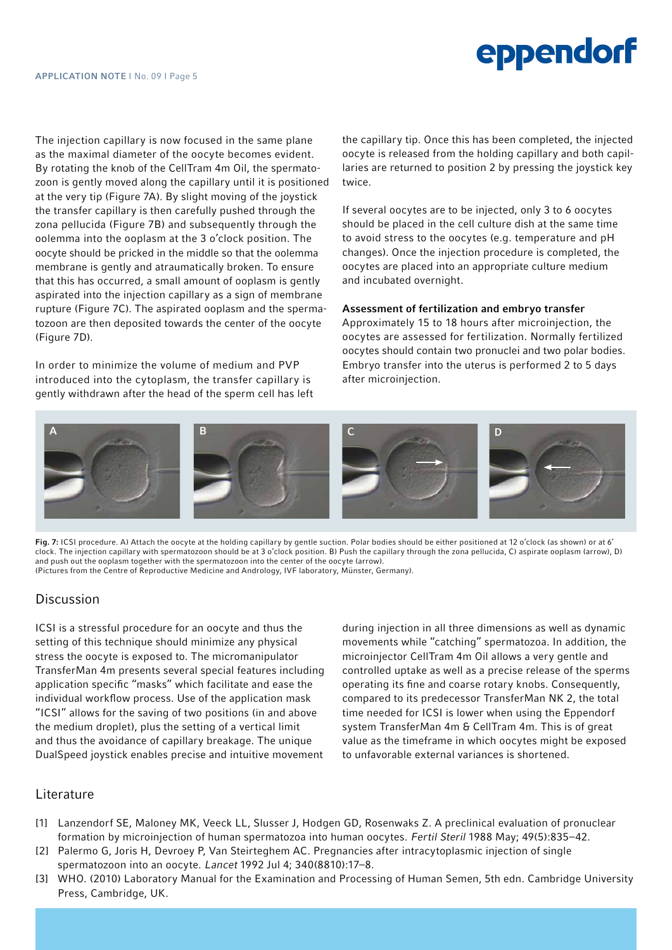The injection capillary is now focused in the same plane as the maximal diameter of the oocyte becomes evident. By rotating the knob of the CellTram 4m Oil, the spermatozoon is gently moved along the capillary until it is positioned at the very tip (Figure 7A). By slight moving of the joystick the transfer capillary is then carefully pushed through the zona pellucida (Figure 7B) and subsequently through the oolemma into the ooplasm at the 3 o'clock position. The oocyte should be pricked in the middle so that the oolemma membrane is gently and atraumatically broken. To ensure that this has occurred, a small amount of ooplasm is gently aspirated into the injection capillary as a sign of membrane rupture (Figure 7C). The aspirated ooplasm and the spermatozoon are then deposited towards the center of the oocyte (Figure 7D).

In order to minimize the volume of medium and PVP introduced into the cytoplasm, the transfer capillary is gently withdrawn after the head of the sperm cell has left

the capillary tip. Once this has been completed, the injected oocyte is released from the holding capillary and both capillaries are returned to position 2 by pressing the joystick key twice.

If several oocytes are to be injected, only 3 to 6 oocytes should be placed in the cell culture dish at the same time to avoid stress to the oocytes (e.g. temperature and pH changes). Once the injection procedure is completed, the oocytes are placed into an appropriate culture medium and incubated overnight.

## Assessment of fertilization and embryo transfer

Approximately 15 to 18 hours after microinjection, the oocytes are assessed for fertilization. Normally fertilized oocytes should contain two pronuclei and two polar bodies. Embryo transfer into the uterus is performed 2 to 5 days after microinjection.



Fig. 7: ICSI procedure. A) Attach the oocyte at the holding capillary by gentle suction. Polar bodies should be either positioned at 12 o'clock (as shown) or at 6' clock. The injection capillary with spermatozoon should be at 3 o'clock position. B) Push the capillary through the zona pellucida, C) aspirate ooplasm (arrow), D) and push out the ooplasm together with the spermatozoon into the center of the oocyte (arrow). (Pictures from the Centre of Reproductive Medicine and Andrology, IVF laboratory, Münster, Germany).

## **Discussion**

ICSI is a stressful procedure for an oocyte and thus the setting of this technique should minimize any physical stress the oocyte is exposed to. The micromanipulator TransferMan 4m presents several special features including application specific "masks" which facilitate and ease the individual workflow process. Use of the application mask "ICSI" allows for the saving of two positions (in and above the medium droplet), plus the setting of a vertical limit and thus the avoidance of capillary breakage. The unique DualSpeed joystick enables precise and intuitive movement

during injection in all three dimensions as well as dynamic movements while "catching" spermatozoa. In addition, the microinjector CellTram 4m Oil allows a very gentle and controlled uptake as well as a precise release of the sperms operating its fine and coarse rotary knobs. Consequently, compared to its predecessor TransferMan NK 2, the total time needed for ICSI is lower when using the Eppendorf system TransferMan 4m & CellTram 4m. This is of great value as the timeframe in which oocytes might be exposed to unfavorable external variances is shortened.

## **Literature**

- [1] Lanzendorf SE, Maloney MK, Veeck LL, Slusser J, Hodgen GD, Rosenwaks Z. A preclinical evaluation of pronuclear formation by microinjection of human spermatozoa into human oocytes. Fertil Steril 1988 May; 49(5):835–42.
- [2] Palermo G, Joris H, Devroey P, Van Steirteghem AC. Pregnancies after intracytoplasmic injection of single spermatozoon into an oocyte. Lancet 1992 Jul 4; 340(8810):17–8.
- [3] WHO. (2010) Laboratory Manual for the Examination and Processing of Human Semen, 5th edn. Cambridge University Press, Cambridge, UK.